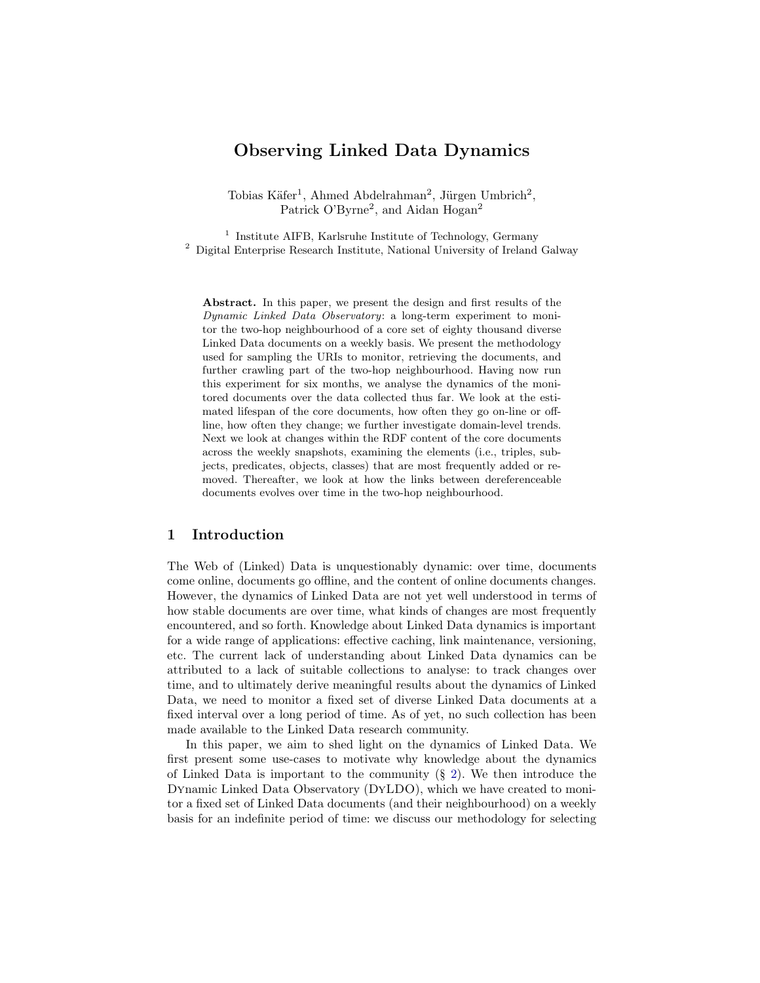# Observing Linked Data Dynamics

Tobias Käfer<sup>1</sup>, Ahmed Abdelrahman<sup>2</sup>, Jürgen Umbrich<sup>2</sup>, Patrick O'Byrne<sup>2</sup>, and Aidan Hogan<sup>2</sup>

<sup>1</sup> Institute AIFB, Karlsruhe Institute of Technology, Germany  $^{\rm 2}$  Digital Enterprise Research Institute, National University of Ireland Galway

Abstract. In this paper, we present the design and first results of the Dynamic Linked Data Observatory: a long-term experiment to monitor the two-hop neighbourhood of a core set of eighty thousand diverse Linked Data documents on a weekly basis. We present the methodology used for sampling the URIs to monitor, retrieving the documents, and further crawling part of the two-hop neighbourhood. Having now run this experiment for six months, we analyse the dynamics of the monitored documents over the data collected thus far. We look at the estimated lifespan of the core documents, how often they go on-line or offline, how often they change; we further investigate domain-level trends. Next we look at changes within the RDF content of the core documents across the weekly snapshots, examining the elements (i.e., triples, subjects, predicates, objects, classes) that are most frequently added or removed. Thereafter, we look at how the links between dereferenceable documents evolves over time in the two-hop neighbourhood.

## 1 Introduction

The Web of (Linked) Data is unquestionably dynamic: over time, documents come online, documents go offline, and the content of online documents changes. However, the dynamics of Linked Data are not yet well understood in terms of how stable documents are over time, what kinds of changes are most frequently encountered, and so forth. Knowledge about Linked Data dynamics is important for a wide range of applications: effective caching, link maintenance, versioning, etc. The current lack of understanding about Linked Data dynamics can be attributed to a lack of suitable collections to analyse: to track changes over time, and to ultimately derive meaningful results about the dynamics of Linked Data, we need to monitor a fixed set of diverse Linked Data documents at a fixed interval over a long period of time. As of yet, no such collection has been made available to the Linked Data research community.

In this paper, we aim to shed light on the dynamics of Linked Data. We first present some use-cases to motivate why knowledge about the dynamics of Linked Data is important to the community  $(\S 2)$  $(\S 2)$ . We then introduce the Dynamic Linked Data Observatory (DyLDO), which we have created to monitor a fixed set of Linked Data documents (and their neighbourhood) on a weekly basis for an indefinite period of time: we discuss our methodology for selecting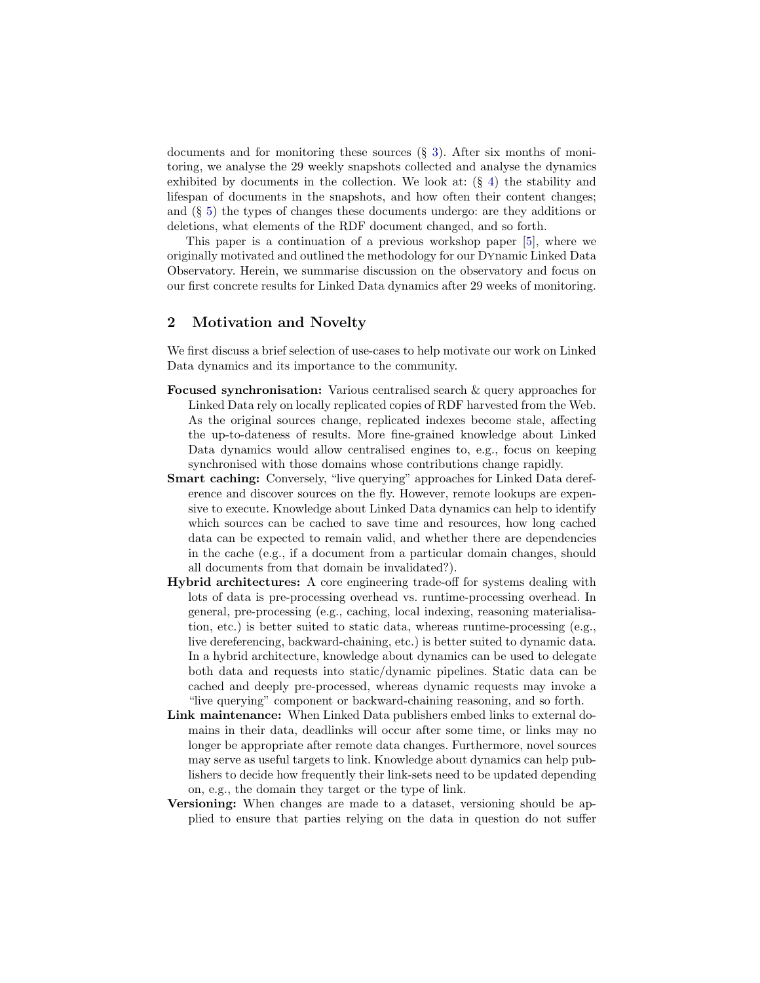documents and for monitoring these sources  $(\S 3)$  $(\S 3)$ . After six months of monitoring, we analyse the 29 weekly snapshots collected and analyse the dynamics exhibited by documents in the collection. We look at:  $(\S 4)$  $(\S 4)$  the stability and lifespan of documents in the snapshots, and how often their content changes; and (§ [5\)](#page-8-0) the types of changes these documents undergo: are they additions or deletions, what elements of the RDF document changed, and so forth.

This paper is a continuation of a previous workshop paper [\[5\]](#page-14-0), where we originally motivated and outlined the methodology for our Dynamic Linked Data Observatory. Herein, we summarise discussion on the observatory and focus on our first concrete results for Linked Data dynamics after 29 weeks of monitoring.

## <span id="page-1-0"></span>2 Motivation and Novelty

We first discuss a brief selection of use-cases to help motivate our work on Linked Data dynamics and its importance to the community.

- Focused synchronisation: Various centralised search & query approaches for Linked Data rely on locally replicated copies of RDF harvested from the Web. As the original sources change, replicated indexes become stale, affecting the up-to-dateness of results. More fine-grained knowledge about Linked Data dynamics would allow centralised engines to, e.g., focus on keeping synchronised with those domains whose contributions change rapidly.
- Smart caching: Conversely, "live querying" approaches for Linked Data dereference and discover sources on the fly. However, remote lookups are expensive to execute. Knowledge about Linked Data dynamics can help to identify which sources can be cached to save time and resources, how long cached data can be expected to remain valid, and whether there are dependencies in the cache (e.g., if a document from a particular domain changes, should all documents from that domain be invalidated?).
- Hybrid architectures: A core engineering trade-off for systems dealing with lots of data is pre-processing overhead vs. runtime-processing overhead. In general, pre-processing (e.g., caching, local indexing, reasoning materialisation, etc.) is better suited to static data, whereas runtime-processing (e.g., live dereferencing, backward-chaining, etc.) is better suited to dynamic data. In a hybrid architecture, knowledge about dynamics can be used to delegate both data and requests into static/dynamic pipelines. Static data can be cached and deeply pre-processed, whereas dynamic requests may invoke a "live querying" component or backward-chaining reasoning, and so forth.
- Link maintenance: When Linked Data publishers embed links to external domains in their data, deadlinks will occur after some time, or links may no longer be appropriate after remote data changes. Furthermore, novel sources may serve as useful targets to link. Knowledge about dynamics can help publishers to decide how frequently their link-sets need to be updated depending on, e.g., the domain they target or the type of link.
- Versioning: When changes are made to a dataset, versioning should be applied to ensure that parties relying on the data in question do not suffer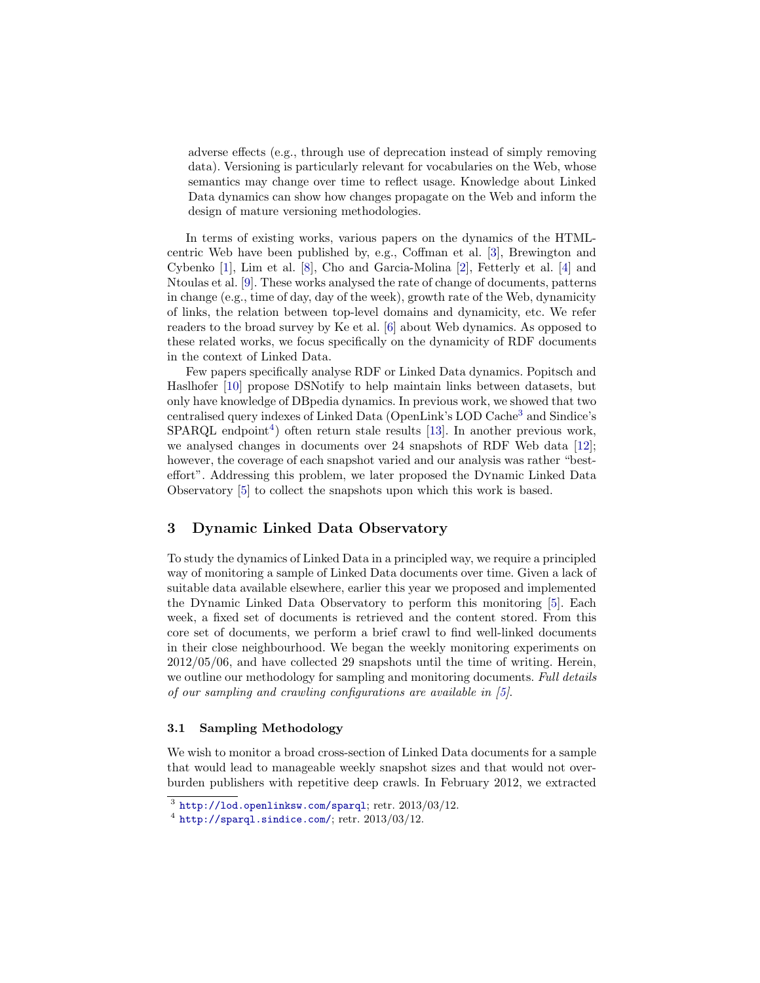adverse effects (e.g., through use of deprecation instead of simply removing data). Versioning is particularly relevant for vocabularies on the Web, whose semantics may change over time to reflect usage. Knowledge about Linked Data dynamics can show how changes propagate on the Web and inform the design of mature versioning methodologies.

In terms of existing works, various papers on the dynamics of the HTMLcentric Web have been published by, e.g., Coffman et al. [\[3\]](#page-14-1), Brewington and Cybenko [\[1\]](#page-14-2), Lim et al. [\[8\]](#page-14-3), Cho and Garcia-Molina [\[2\]](#page-14-4), Fetterly et al. [\[4\]](#page-14-5) and Ntoulas et al. [\[9\]](#page-14-6). These works analysed the rate of change of documents, patterns in change (e.g., time of day, day of the week), growth rate of the Web, dynamicity of links, the relation between top-level domains and dynamicity, etc. We refer readers to the broad survey by Ke et al. [\[6\]](#page-14-7) about Web dynamics. As opposed to these related works, we focus specifically on the dynamicity of RDF documents in the context of Linked Data.

Few papers specifically analyse RDF or Linked Data dynamics. Popitsch and Haslhofer [\[10\]](#page-14-8) propose DSNotify to help maintain links between datasets, but only have knowledge of DBpedia dynamics. In previous work, we showed that two centralised query indexes of Linked Data (OpenLink's LOD Cache[3](#page-2-1) and Sindice's  $SPARQL$  endpoint<sup>[4](#page-2-2)</sup>) often return stale results [\[13\]](#page-14-9). In another previous work, we analysed changes in documents over 24 snapshots of RDF Web data [\[12\]](#page-14-10); however, the coverage of each snapshot varied and our analysis was rather "besteffort". Addressing this problem, we later proposed the Dynamic Linked Data Observatory [\[5\]](#page-14-0) to collect the snapshots upon which this work is based.

## <span id="page-2-0"></span>3 Dynamic Linked Data Observatory

To study the dynamics of Linked Data in a principled way, we require a principled way of monitoring a sample of Linked Data documents over time. Given a lack of suitable data available elsewhere, earlier this year we proposed and implemented the Dynamic Linked Data Observatory to perform this monitoring [\[5\]](#page-14-0). Each week, a fixed set of documents is retrieved and the content stored. From this core set of documents, we perform a brief crawl to find well-linked documents in their close neighbourhood. We began the weekly monitoring experiments on 2012/05/06, and have collected 29 snapshots until the time of writing. Herein, we outline our methodology for sampling and monitoring documents. Full details of our sampling and crawling configurations are available in [\[5\]](#page-14-0).

### 3.1 Sampling Methodology

We wish to monitor a broad cross-section of Linked Data documents for a sample that would lead to manageable weekly snapshot sizes and that would not overburden publishers with repetitive deep crawls. In February 2012, we extracted

<span id="page-2-1"></span> $3$  <http://lod.openlinksw.com/sparql>; retr.  $2013/03/12$ .

<span id="page-2-2"></span> $4$  <http://sparql.sindice.com/>; retr.  $2013/03/12$ .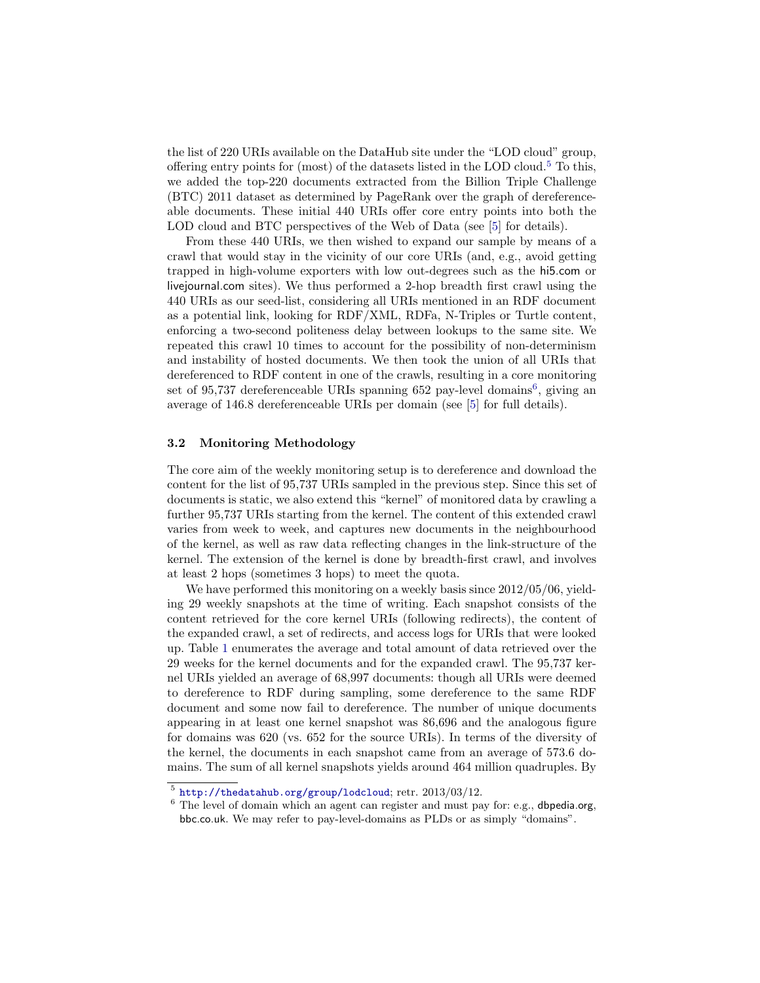the list of 220 URIs available on the DataHub site under the "LOD cloud" group, offering entry points for (most) of the datasets listed in the LOD cloud.<sup>[5](#page-3-0)</sup> To this, we added the top-220 documents extracted from the Billion Triple Challenge (BTC) 2011 dataset as determined by PageRank over the graph of dereferenceable documents. These initial 440 URIs offer core entry points into both the LOD cloud and BTC perspectives of the Web of Data (see [\[5\]](#page-14-0) for details).

From these 440 URIs, we then wished to expand our sample by means of a crawl that would stay in the vicinity of our core URIs (and, e.g., avoid getting trapped in high-volume exporters with low out-degrees such as the hi5.com or livejournal.com sites). We thus performed a 2-hop breadth first crawl using the 440 URIs as our seed-list, considering all URIs mentioned in an RDF document as a potential link, looking for RDF/XML, RDFa, N-Triples or Turtle content, enforcing a two-second politeness delay between lookups to the same site. We repeated this crawl 10 times to account for the possibility of non-determinism and instability of hosted documents. We then took the union of all URIs that dereferenced to RDF content in one of the crawls, resulting in a core monitoring set of 95,737 dereferenceable URIs spanning [6](#page-3-1)52 pay-level domains<sup>6</sup>, giving an average of 146.8 dereferenceable URIs per domain (see [\[5\]](#page-14-0) for full details).

#### 3.2 Monitoring Methodology

The core aim of the weekly monitoring setup is to dereference and download the content for the list of 95,737 URIs sampled in the previous step. Since this set of documents is static, we also extend this "kernel" of monitored data by crawling a further 95,737 URIs starting from the kernel. The content of this extended crawl varies from week to week, and captures new documents in the neighbourhood of the kernel, as well as raw data reflecting changes in the link-structure of the kernel. The extension of the kernel is done by breadth-first crawl, and involves at least 2 hops (sometimes 3 hops) to meet the quota.

We have performed this monitoring on a weekly basis since  $2012/05/06$ , yielding 29 weekly snapshots at the time of writing. Each snapshot consists of the content retrieved for the core kernel URIs (following redirects), the content of the expanded crawl, a set of redirects, and access logs for URIs that were looked up. Table [1](#page-4-1) enumerates the average and total amount of data retrieved over the 29 weeks for the kernel documents and for the expanded crawl. The 95,737 kernel URIs yielded an average of 68,997 documents: though all URIs were deemed to dereference to RDF during sampling, some dereference to the same RDF document and some now fail to dereference. The number of unique documents appearing in at least one kernel snapshot was 86,696 and the analogous figure for domains was 620 (vs. 652 for the source URIs). In terms of the diversity of the kernel, the documents in each snapshot came from an average of 573.6 domains. The sum of all kernel snapshots yields around 464 million quadruples. By

<span id="page-3-0"></span> $5$  <http://thedatahub.org/group/lodcloud>; retr.  $2013/03/12$ .

<span id="page-3-1"></span><sup>&</sup>lt;sup>6</sup> The level of domain which an agent can register and must pay for: e.g., dbpedia.org, bbc.co.uk. We may refer to pay-level-domains as PLDs or as simply "domains".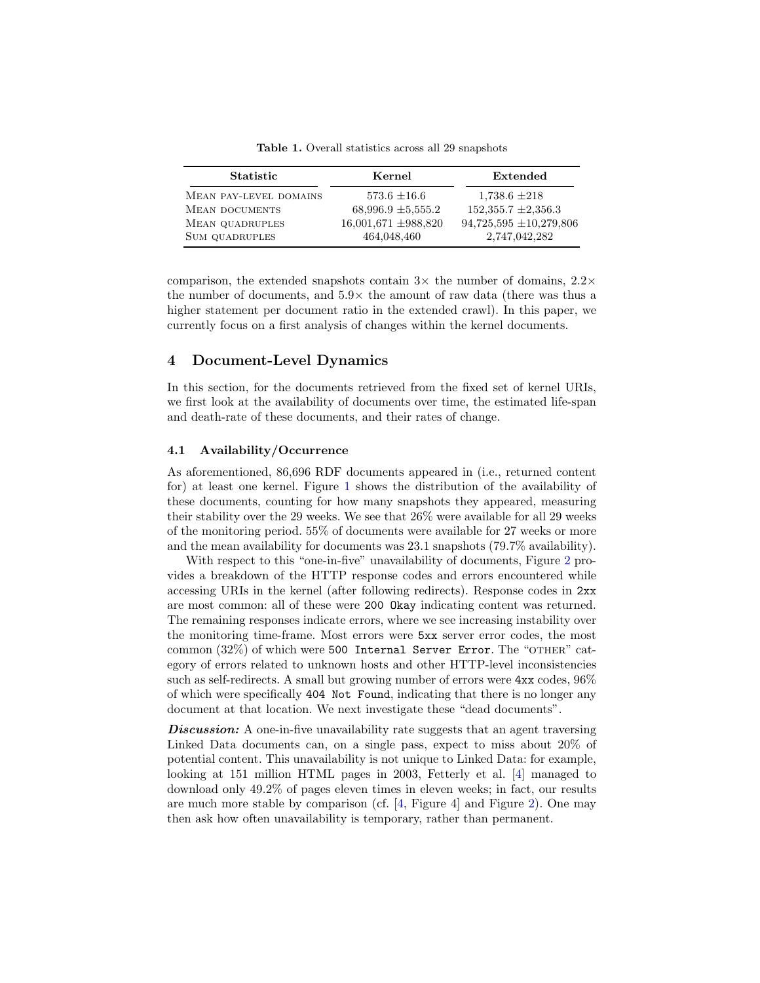Statistic Kernel Extended MEAN PAY-LEVEL DOMAINS  $573.6 \pm 16.6$  1,738.6  $\pm 218$ Mean documents 68,996.9 ±5,555.2 152,355.7 ±2,356.3 MEAN QUADRUPLES 16,001,671 ±988,820 94,725,595 ±10,279,806 SUM QUADRUPLES 464,048,460 2,747,042,282

<span id="page-4-1"></span>Table 1. Overall statistics across all 29 snapshots

comparison, the extended snapshots contain  $3\times$  the number of domains,  $2.2\times$ the number of documents, and  $5.9\times$  the amount of raw data (there was thus a higher statement per document ratio in the extended crawl). In this paper, we currently focus on a first analysis of changes within the kernel documents.

## <span id="page-4-0"></span>4 Document-Level Dynamics

In this section, for the documents retrieved from the fixed set of kernel URIs, we first look at the availability of documents over time, the estimated life-span and death-rate of these documents, and their rates of change.

### 4.1 Availability/Occurrence

As aforementioned, 86,696 RDF documents appeared in (i.e., returned content for) at least one kernel. Figure [1](#page-5-0) shows the distribution of the availability of these documents, counting for how many snapshots they appeared, measuring their stability over the 29 weeks. We see that 26% were available for all 29 weeks of the monitoring period. 55% of documents were available for 27 weeks or more and the mean availability for documents was 23.1 snapshots (79.7% availability).

With respect to this "one-in-five" unavailability of documents, Figure [2](#page-5-1) provides a breakdown of the HTTP response codes and errors encountered while accessing URIs in the kernel (after following redirects). Response codes in 2xx are most common: all of these were 200 Okay indicating content was returned. The remaining responses indicate errors, where we see increasing instability over the monitoring time-frame. Most errors were 5xx server error codes, the most common  $(32\%)$  of which were 500 Internal Server Error. The "OTHER" category of errors related to unknown hosts and other HTTP-level inconsistencies such as self-redirects. A small but growing number of errors were 4xx codes, 96% of which were specifically 404 Not Found, indicating that there is no longer any document at that location. We next investigate these "dead documents".

**Discussion:** A one-in-five unavailability rate suggests that an agent traversing Linked Data documents can, on a single pass, expect to miss about 20% of potential content. This unavailability is not unique to Linked Data: for example, looking at 151 million HTML pages in 2003, Fetterly et al. [\[4\]](#page-14-5) managed to download only 49.2% of pages eleven times in eleven weeks; in fact, our results are much more stable by comparison (cf. [\[4,](#page-14-5) Figure 4] and Figure [2\)](#page-5-1). One may then ask how often unavailability is temporary, rather than permanent.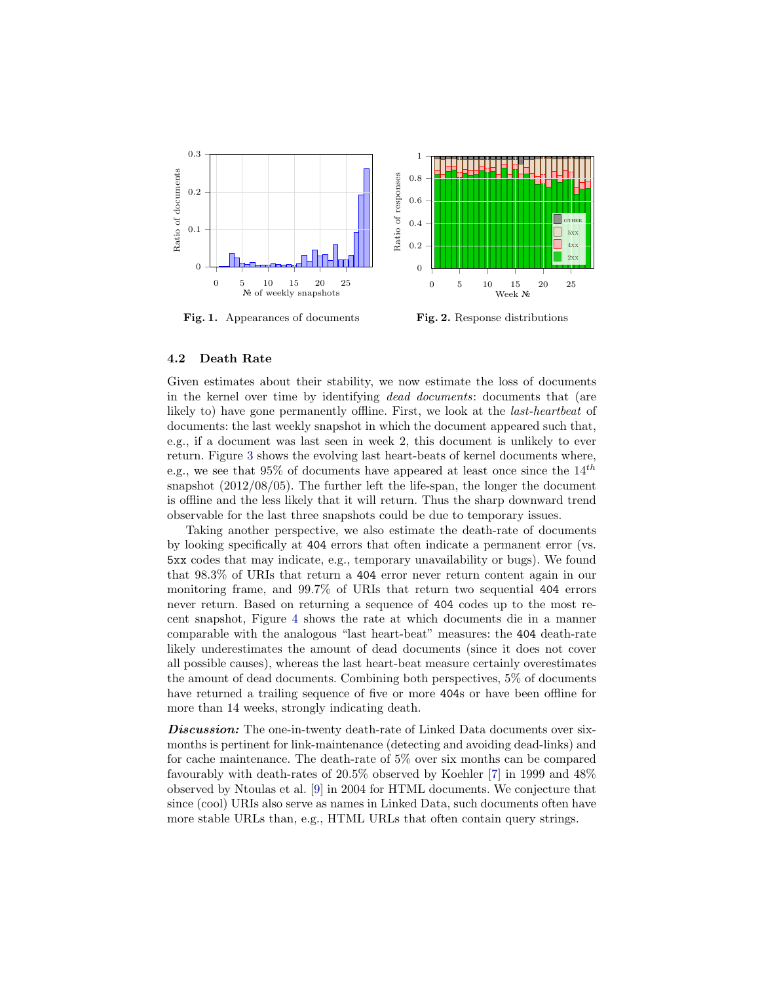

<span id="page-5-0"></span>Fig. 1. Appearances of documents

<span id="page-5-1"></span>Fig. 2. Response distributions

#### 4.2 Death Rate

Given estimates about their stability, we now estimate the loss of documents in the kernel over time by identifying dead documents: documents that (are likely to) have gone permanently offline. First, we look at the *last-heartbeat* of documents: the last weekly snapshot in which the document appeared such that, e.g., if a document was last seen in week 2, this document is unlikely to ever return. Figure [3](#page-6-0) shows the evolving last heart-beats of kernel documents where, e.g., we see that 95% of documents have appeared at least once since the  $14^{th}$ snapshot (2012/08/05). The further left the life-span, the longer the document is offline and the less likely that it will return. Thus the sharp downward trend observable for the last three snapshots could be due to temporary issues.

Taking another perspective, we also estimate the death-rate of documents by looking specifically at 404 errors that often indicate a permanent error (vs. 5xx codes that may indicate, e.g., temporary unavailability or bugs). We found that 98.3% of URIs that return a 404 error never return content again in our monitoring frame, and 99.7% of URIs that return two sequential 404 errors never return. Based on returning a sequence of 404 codes up to the most recent snapshot, Figure [4](#page-6-1) shows the rate at which documents die in a manner comparable with the analogous "last heart-beat" measures: the 404 death-rate likely underestimates the amount of dead documents (since it does not cover all possible causes), whereas the last heart-beat measure certainly overestimates the amount of dead documents. Combining both perspectives, 5% of documents have returned a trailing sequence of five or more 404s or have been offline for more than 14 weeks, strongly indicating death.

Discussion: The one-in-twenty death-rate of Linked Data documents over sixmonths is pertinent for link-maintenance (detecting and avoiding dead-links) and for cache maintenance. The death-rate of 5% over six months can be compared favourably with death-rates of 20.5% observed by Koehler [\[7\]](#page-14-11) in 1999 and 48% observed by Ntoulas et al. [\[9\]](#page-14-6) in 2004 for HTML documents. We conjecture that since (cool) URIs also serve as names in Linked Data, such documents often have more stable URLs than, e.g., HTML URLs that often contain query strings.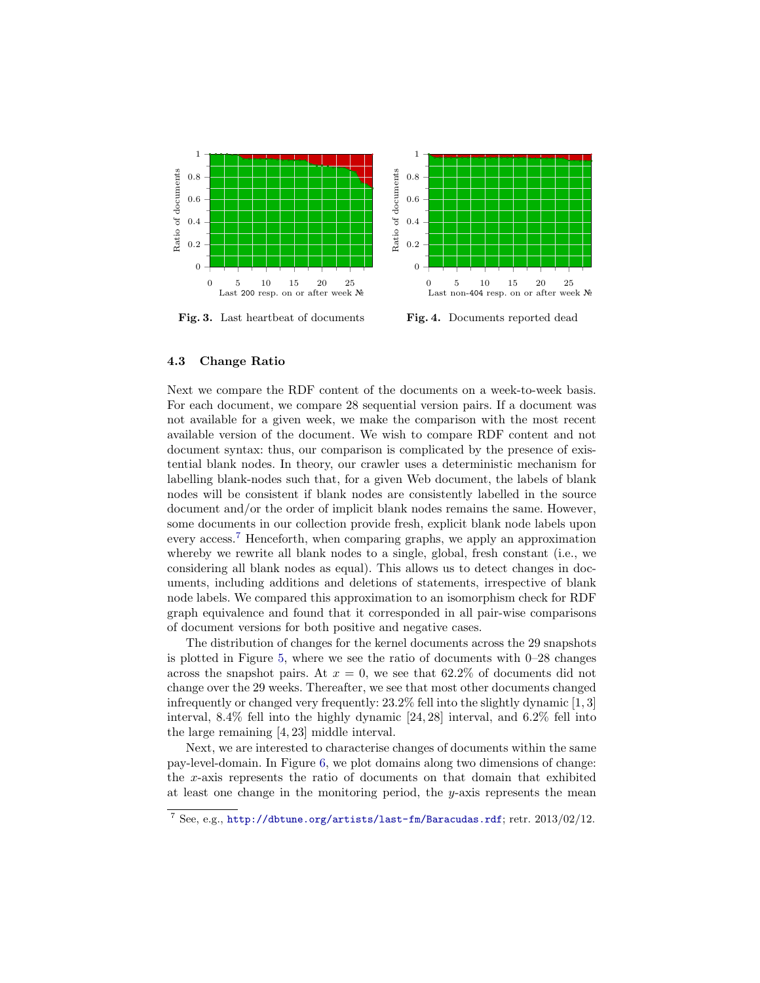

<span id="page-6-0"></span>Fig. 3. Last heartbeat of documents

<span id="page-6-1"></span>Fig. 4. Documents reported dead

### 4.3 Change Ratio

Next we compare the RDF content of the documents on a week-to-week basis. For each document, we compare 28 sequential version pairs. If a document was not available for a given week, we make the comparison with the most recent available version of the document. We wish to compare RDF content and not document syntax: thus, our comparison is complicated by the presence of existential blank nodes. In theory, our crawler uses a deterministic mechanism for labelling blank-nodes such that, for a given Web document, the labels of blank nodes will be consistent if blank nodes are consistently labelled in the source document and/or the order of implicit blank nodes remains the same. However, some documents in our collection provide fresh, explicit blank node labels upon every access.[7](#page-6-2) Henceforth, when comparing graphs, we apply an approximation whereby we rewrite all blank nodes to a single, global, fresh constant (i.e., we considering all blank nodes as equal). This allows us to detect changes in documents, including additions and deletions of statements, irrespective of blank node labels. We compared this approximation to an isomorphism check for RDF graph equivalence and found that it corresponded in all pair-wise comparisons of document versions for both positive and negative cases.

The distribution of changes for the kernel documents across the 29 snapshots is plotted in Figure [5,](#page-8-1) where we see the ratio of documents with  $0-28$  changes across the snapshot pairs. At  $x = 0$ , we see that 62.2% of documents did not change over the 29 weeks. Thereafter, we see that most other documents changed infrequently or changed very frequently: 23.2% fell into the slightly dynamic [1, 3] interval, 8.4% fell into the highly dynamic [24, 28] interval, and 6.2% fell into the large remaining [4, 23] middle interval.

Next, we are interested to characterise changes of documents within the same pay-level-domain. In Figure [6,](#page-8-2) we plot domains along two dimensions of change: the x-axis represents the ratio of documents on that domain that exhibited at least one change in the monitoring period, the y-axis represents the mean

<span id="page-6-2"></span> $7$  See, e.g., <http://dbtune.org/artists/last-fm/Baracudas.rdf>; retr. 2013/02/12.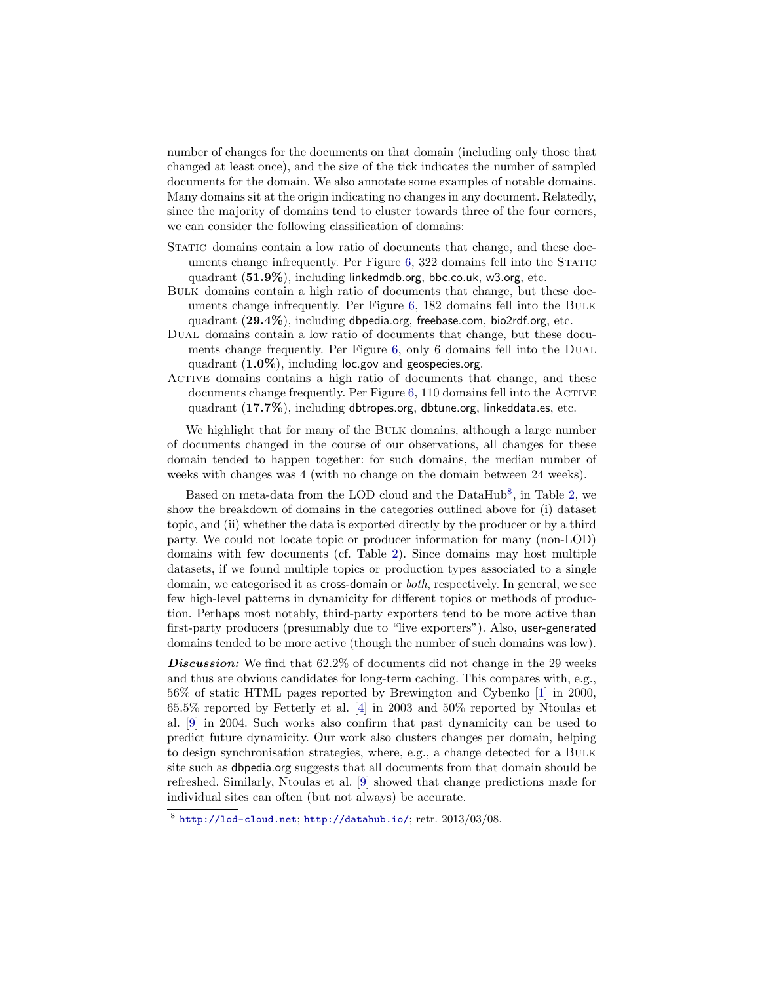number of changes for the documents on that domain (including only those that changed at least once), and the size of the tick indicates the number of sampled documents for the domain. We also annotate some examples of notable domains. Many domains sit at the origin indicating no changes in any document. Relatedly, since the majority of domains tend to cluster towards three of the four corners, we can consider the following classification of domains:

- Static domains contain a low ratio of documents that change, and these doc-uments change infrequently. Per Figure [6,](#page-8-2) 322 domains fell into the STATIC quadrant (51.9%), including linkedmdb.org, bbc.co.uk, w3.org, etc.
- Bulk domains contain a high ratio of documents that change, but these doc-uments change infrequently. Per Figure [6,](#page-8-2) 182 domains fell into the BULK quadrant (29.4%), including dbpedia.org, freebase.com, bio2rdf.org, etc.
- Dual domains contain a low ratio of documents that change, but these documents change frequently. Per Figure [6,](#page-8-2) only 6 domains fell into the Dual quadrant (1.0%), including loc.gov and geospecies.org.
- Active domains contains a high ratio of documents that change, and these documents change frequently. Per Figure [6,](#page-8-2) 110 domains fell into the ACTIVE quadrant (17.7%), including dbtropes.org, dbtune.org, linkeddata.es, etc.

We highlight that for many of the BULK domains, although a large number of documents changed in the course of our observations, all changes for these domain tended to happen together: for such domains, the median number of weeks with changes was 4 (with no change on the domain between 24 weeks).

Based on meta-data from the LOD cloud and the Data $\text{Hub}^8$  $\text{Hub}^8$ , in Table [2,](#page-8-3) we show the breakdown of domains in the categories outlined above for (i) dataset topic, and (ii) whether the data is exported directly by the producer or by a third party. We could not locate topic or producer information for many (non-LOD) domains with few documents (cf. Table [2\)](#page-8-3). Since domains may host multiple datasets, if we found multiple topics or production types associated to a single domain, we categorised it as cross-domain or both, respectively. In general, we see few high-level patterns in dynamicity for different topics or methods of production. Perhaps most notably, third-party exporters tend to be more active than first-party producers (presumably due to "live exporters"). Also, user-generated domains tended to be more active (though the number of such domains was low).

Discussion: We find that 62.2% of documents did not change in the 29 weeks and thus are obvious candidates for long-term caching. This compares with, e.g., 56% of static HTML pages reported by Brewington and Cybenko [\[1\]](#page-14-2) in 2000, 65.5% reported by Fetterly et al. [\[4\]](#page-14-5) in 2003 and 50% reported by Ntoulas et al. [\[9\]](#page-14-6) in 2004. Such works also confirm that past dynamicity can be used to predict future dynamicity. Our work also clusters changes per domain, helping to design synchronisation strategies, where, e.g., a change detected for a Bulk site such as dbpedia.org suggests that all documents from that domain should be refreshed. Similarly, Ntoulas et al. [\[9\]](#page-14-6) showed that change predictions made for individual sites can often (but not always) be accurate.

<span id="page-7-0"></span> $8$  <http://lod-cloud.net>; <http://datahub.io/>; retr.  $2013/03/08$ .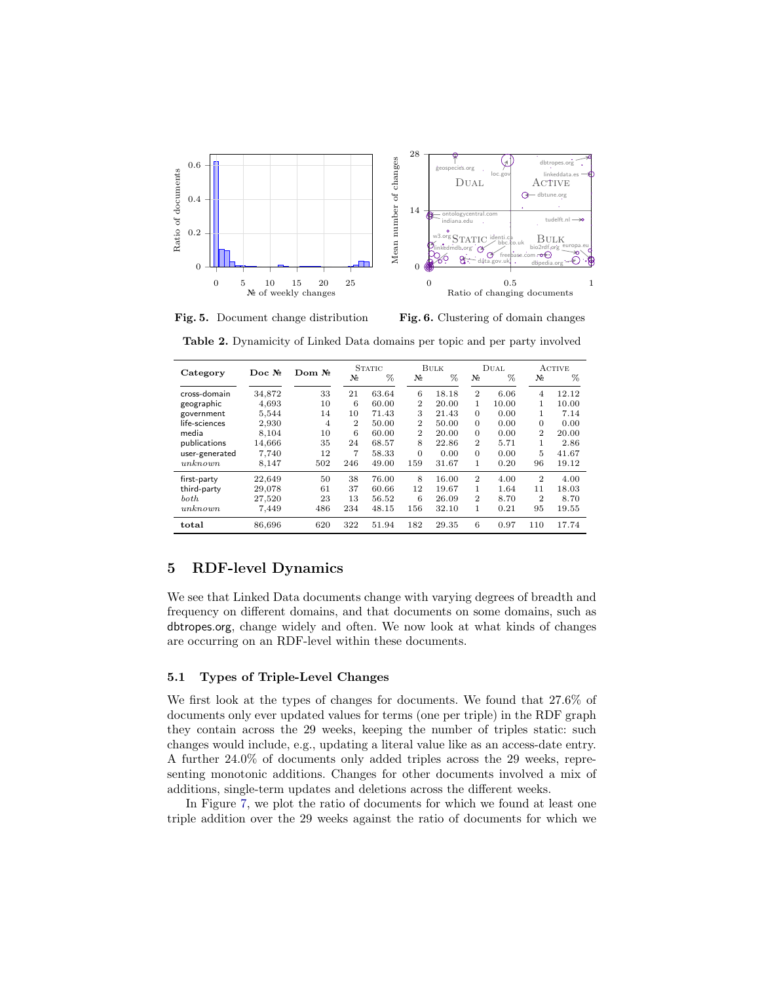

<span id="page-8-1"></span>Fig. 5. Document change distribution

<span id="page-8-2"></span>Fig. 6. Clustering of domain changes

<span id="page-8-3"></span>Table 2. Dynamicity of Linked Data domains per topic and per party involved

|                                          | Doc $N_2$ | Dom $\mathbb{N}^2$ | <b>STATIC</b>  |       | <b>BULK</b>    |       | DUAL           |       | <b>ACTIVE</b>  |       |
|------------------------------------------|-----------|--------------------|----------------|-------|----------------|-------|----------------|-------|----------------|-------|
| Category                                 |           |                    | $N_2$          | %     | $N_2$          | %     | No             | %     | No             | %     |
| cross-domain<br>geographic<br>government | 34,872    | 33                 | 21             | 63.64 | 6              | 18.18 | $\overline{2}$ | 6.06  | $\overline{4}$ | 12.12 |
|                                          | 4.693     | 10                 | 6              | 60.00 | $\overline{2}$ | 20.00 | 1              | 10.00 | 1              | 10.00 |
|                                          | 5.544     | 14                 | 10             | 71.43 | 3              | 21.43 | $\Omega$       | 0.00  | 1              | 7.14  |
| life-sciences                            | 2.930     | $\overline{4}$     | $\overline{2}$ | 50.00 | $\overline{2}$ | 50.00 | $\Omega$       | 0.00  | $\overline{0}$ | 0.00  |
| media<br>publications                    | 8.104     | 10                 | 6              | 60.00 | $\overline{2}$ | 20.00 | $\Omega$       | 0.00  | $\overline{2}$ | 20.00 |
|                                          | 14.666    | 35                 | 24             | 68.57 | 8              | 22.86 | $\overline{2}$ | 5.71  | 1              | 2.86  |
| user-generated                           | 7.740     | 12                 | 7              | 58.33 | $\Omega$       | 0.00  | $\Omega$       | 0.00  | 5              | 41.67 |
| unknown                                  | 8,147     | 502                | 246            | 49.00 | 159            | 31.67 | 1              | 0.20  | 96             | 19.12 |
| first-party<br>third-party               | 22.649    | 50                 | 38             | 76.00 | 8              | 16.00 | $\overline{2}$ | 4.00  | $\overline{2}$ | 4.00  |
|                                          | 29,078    | 61                 | 37             | 60.66 | 12             | 19.67 | 1.             | 1.64  | 11             | 18.03 |
| both                                     | 27.520    | 23                 | 13             | 56.52 | 6              | 26.09 | $\overline{2}$ | 8.70  | $\overline{2}$ | 8.70  |
| unknown                                  | 7.449     | 486                | 234            | 48.15 | 156            | 32.10 | 1              | 0.21  | 95             | 19.55 |
| total                                    | 86,696    | 620                | 322            | 51.94 | 182            | 29.35 | 6              | 0.97  | 110            | 17.74 |

## <span id="page-8-0"></span>5 RDF-level Dynamics

We see that Linked Data documents change with varying degrees of breadth and frequency on different domains, and that documents on some domains, such as dbtropes.org, change widely and often. We now look at what kinds of changes are occurring on an RDF-level within these documents.

#### 5.1 Types of Triple-Level Changes

We first look at the types of changes for documents. We found that 27.6% of documents only ever updated values for terms (one per triple) in the RDF graph they contain across the 29 weeks, keeping the number of triples static: such changes would include, e.g., updating a literal value like as an access-date entry. A further 24.0% of documents only added triples across the 29 weeks, representing monotonic additions. Changes for other documents involved a mix of additions, single-term updates and deletions across the different weeks.

In Figure [7,](#page-9-0) we plot the ratio of documents for which we found at least one triple addition over the 29 weeks against the ratio of documents for which we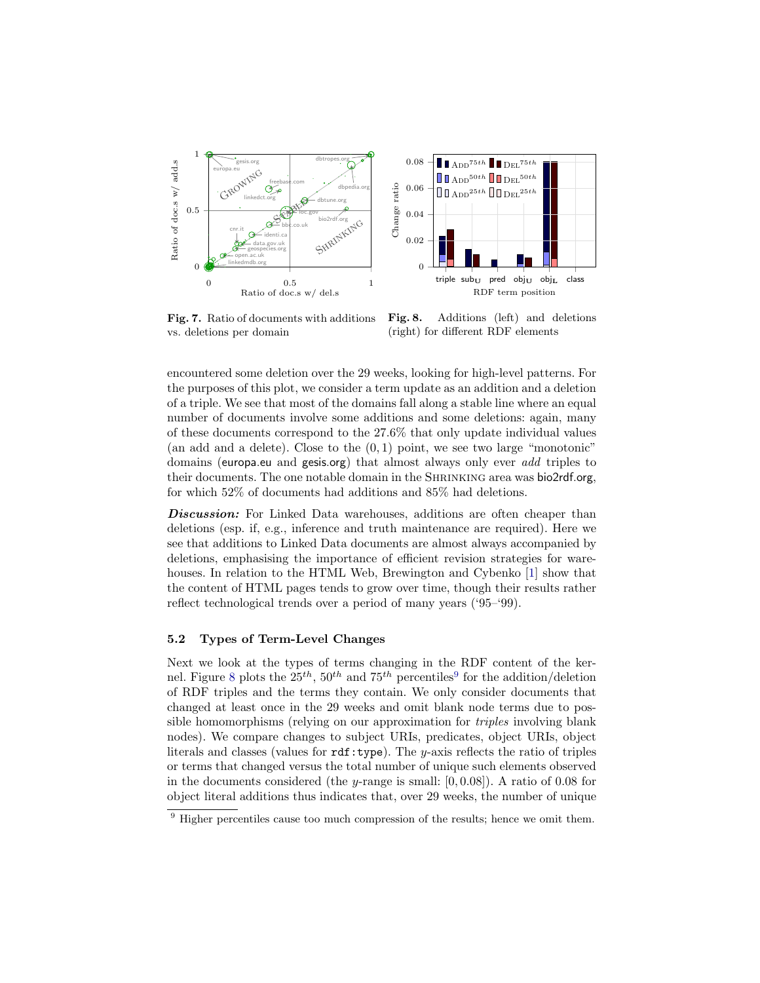

<span id="page-9-0"></span>Fig. 7. Ratio of documents with additions vs. deletions per domain

<span id="page-9-1"></span>Fig. 8. Additions (left) and deletions (right) for different RDF elements

encountered some deletion over the 29 weeks, looking for high-level patterns. For the purposes of this plot, we consider a term update as an addition and a deletion of a triple. We see that most of the domains fall along a stable line where an equal number of documents involve some additions and some deletions: again, many of these documents correspond to the 27.6% that only update individual values (an add and a delete). Close to the  $(0, 1)$  point, we see two large "monotonic" domains (europa.eu and gesis.org) that almost always only ever add triples to their documents. The one notable domain in the SHRINKING area was bio2rdf.org, for which 52% of documents had additions and 85% had deletions.

Discussion: For Linked Data warehouses, additions are often cheaper than deletions (esp. if, e.g., inference and truth maintenance are required). Here we see that additions to Linked Data documents are almost always accompanied by deletions, emphasising the importance of efficient revision strategies for warehouses. In relation to the HTML Web, Brewington and Cybenko [\[1\]](#page-14-2) show that the content of HTML pages tends to grow over time, though their results rather reflect technological trends over a period of many years ('95–'99).

#### 5.2 Types of Term-Level Changes

Next we look at the types of terms changing in the RDF content of the ker-nel. Figure [8](#page-9-1) plots the  $25^{th}$ ,  $50^{th}$  and  $75^{th}$  percentiles<sup>[9](#page-9-2)</sup> for the addition/deletion of RDF triples and the terms they contain. We only consider documents that changed at least once in the 29 weeks and omit blank node terms due to possible homomorphisms (relying on our approximation for triples involving blank nodes). We compare changes to subject URIs, predicates, object URIs, object literals and classes (values for  $\texttt{rdf:type}$ ). The y-axis reflects the ratio of triples or terms that changed versus the total number of unique such elements observed in the documents considered (the y-range is small:  $[0, 0.08]$ ). A ratio of 0.08 for object literal additions thus indicates that, over 29 weeks, the number of unique

<span id="page-9-2"></span><sup>&</sup>lt;sup>9</sup> Higher percentiles cause too much compression of the results; hence we omit them.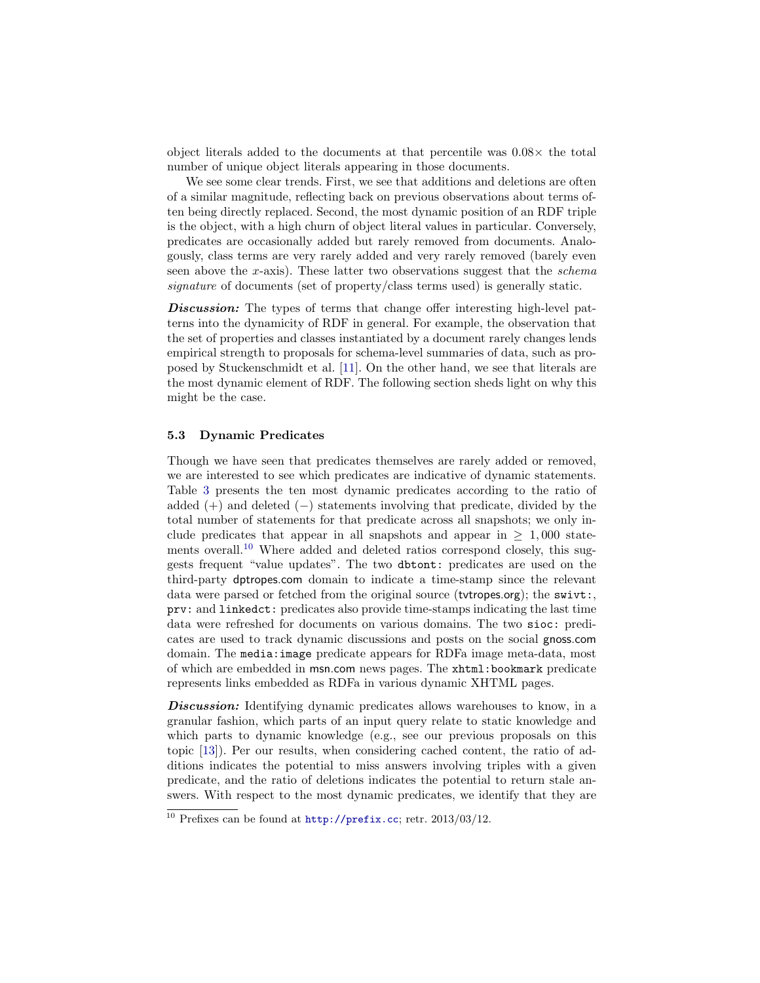object literals added to the documents at that percentile was  $0.08\times$  the total number of unique object literals appearing in those documents.

We see some clear trends. First, we see that additions and deletions are often of a similar magnitude, reflecting back on previous observations about terms often being directly replaced. Second, the most dynamic position of an RDF triple is the object, with a high churn of object literal values in particular. Conversely, predicates are occasionally added but rarely removed from documents. Analogously, class terms are very rarely added and very rarely removed (barely even seen above the x-axis). These latter two observations suggest that the *schema* signature of documents (set of property/class terms used) is generally static.

**Discussion:** The types of terms that change offer interesting high-level patterns into the dynamicity of RDF in general. For example, the observation that the set of properties and classes instantiated by a document rarely changes lends empirical strength to proposals for schema-level summaries of data, such as proposed by Stuckenschmidt et al. [\[11\]](#page-14-12). On the other hand, we see that literals are the most dynamic element of RDF. The following section sheds light on why this might be the case.

#### 5.3 Dynamic Predicates

Though we have seen that predicates themselves are rarely added or removed, we are interested to see which predicates are indicative of dynamic statements. Table [3](#page-11-0) presents the ten most dynamic predicates according to the ratio of added (+) and deleted (−) statements involving that predicate, divided by the total number of statements for that predicate across all snapshots; we only include predicates that appear in all snapshots and appear in  $\geq 1,000$  state-ments overall.<sup>[10](#page-10-0)</sup> Where added and deleted ratios correspond closely, this suggests frequent "value updates". The two dbtont: predicates are used on the third-party dptropes.com domain to indicate a time-stamp since the relevant data were parsed or fetched from the original source (tvtropes.org); the swivt:, prv: and linkedct: predicates also provide time-stamps indicating the last time data were refreshed for documents on various domains. The two sioc: predicates are used to track dynamic discussions and posts on the social gnoss.com domain. The media:image predicate appears for RDFa image meta-data, most of which are embedded in msn.com news pages. The xhtml:bookmark predicate represents links embedded as RDFa in various dynamic XHTML pages.

**Discussion:** Identifying dynamic predicates allows warehouses to know, in a granular fashion, which parts of an input query relate to static knowledge and which parts to dynamic knowledge (e.g., see our previous proposals on this topic [\[13\]](#page-14-9)). Per our results, when considering cached content, the ratio of additions indicates the potential to miss answers involving triples with a given predicate, and the ratio of deletions indicates the potential to return stale answers. With respect to the most dynamic predicates, we identify that they are

<span id="page-10-0"></span><sup>&</sup>lt;sup>10</sup> Prefixes can be found at  $http://prefix.cc; retr. 2013/03/12$  $http://prefix.cc; retr. 2013/03/12$ .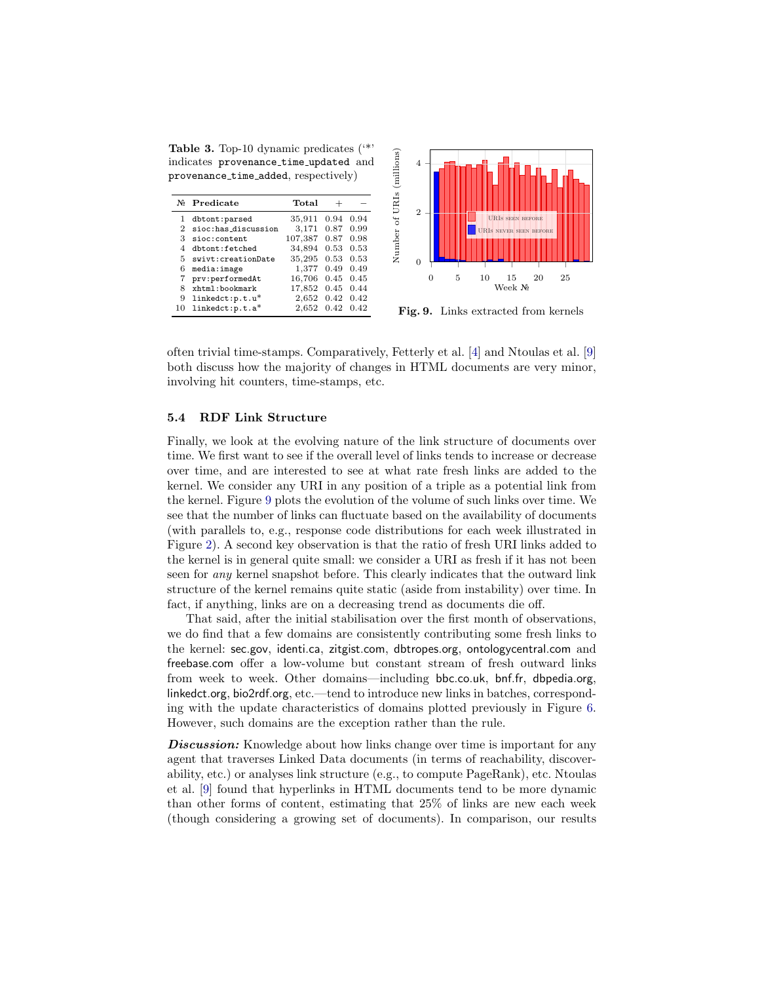<span id="page-11-0"></span>Table 3. Top-10 dynamic predicates ('\*' indicates provenance time updated and provenance time added, respectively)

|    | $\mathbb{N}$ Predicate | Total   |      |      |
|----|------------------------|---------|------|------|
| 1  | dbtont:parsed          | 35,911  | 0.94 | 0.94 |
| 2  | sioc: has discussion   | 3,171   | 0.87 | 0.99 |
| з  | sioc:content           | 107,387 | 0.87 | 0.98 |
| 4  | dbtont:fetched         | 34,894  | 0.53 | 0.53 |
| 5. | swivt: creationDate    | 35,295  | 0.53 | 0.53 |
| 6  | media: image           | 1,377   | 0.49 | 0.49 |
|    | prv:performedAt        | 16,706  | 0.45 | 0.45 |
| 8  | xhtml:bookmark         | 17,852  | 0.45 | 0.44 |
| 9  | $linkedct: p.t.u*$     | 2,652   | 0.42 | 0.42 |
| 10 | linkedct:p.t.a*        | 2,652   | 0.42 | 0.42 |



<span id="page-11-1"></span>Fig. 9. Links extracted from kernels

often trivial time-stamps. Comparatively, Fetterly et al. [\[4\]](#page-14-5) and Ntoulas et al. [\[9\]](#page-14-6) both discuss how the majority of changes in HTML documents are very minor, involving hit counters, time-stamps, etc.

#### 5.4 RDF Link Structure

Finally, we look at the evolving nature of the link structure of documents over time. We first want to see if the overall level of links tends to increase or decrease over time, and are interested to see at what rate fresh links are added to the kernel. We consider any URI in any position of a triple as a potential link from the kernel. Figure [9](#page-11-1) plots the evolution of the volume of such links over time. We see that the number of links can fluctuate based on the availability of documents (with parallels to, e.g., response code distributions for each week illustrated in Figure [2\)](#page-5-1). A second key observation is that the ratio of fresh URI links added to the kernel is in general quite small: we consider a URI as fresh if it has not been seen for any kernel snapshot before. This clearly indicates that the outward link structure of the kernel remains quite static (aside from instability) over time. In fact, if anything, links are on a decreasing trend as documents die off.

That said, after the initial stabilisation over the first month of observations, we do find that a few domains are consistently contributing some fresh links to the kernel: sec.gov, identi.ca, zitgist.com, dbtropes.org, ontologycentral.com and freebase.com offer a low-volume but constant stream of fresh outward links from week to week. Other domains—including bbc.co.uk, bnf.fr, dbpedia.org, linkedct.org, bio2rdf.org, etc.—tend to introduce new links in batches, corresponding with the update characteristics of domains plotted previously in Figure [6.](#page-8-2) However, such domains are the exception rather than the rule.

**Discussion:** Knowledge about how links change over time is important for any agent that traverses Linked Data documents (in terms of reachability, discoverability, etc.) or analyses link structure (e.g., to compute PageRank), etc. Ntoulas et al. [\[9\]](#page-14-6) found that hyperlinks in HTML documents tend to be more dynamic than other forms of content, estimating that 25% of links are new each week (though considering a growing set of documents). In comparison, our results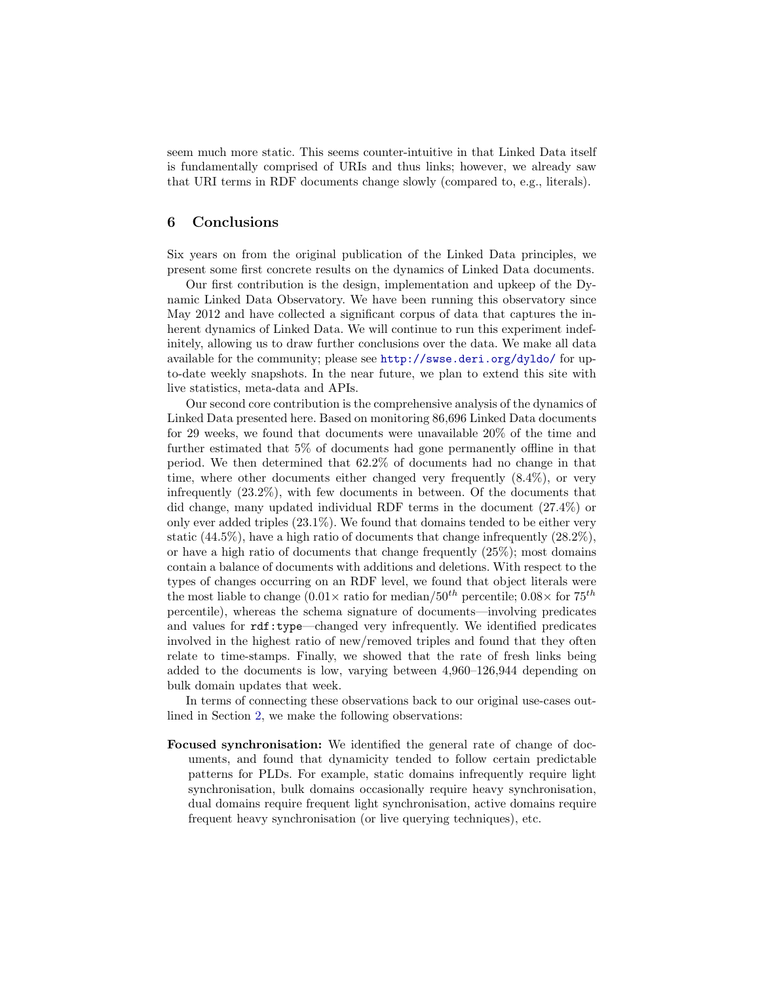seem much more static. This seems counter-intuitive in that Linked Data itself is fundamentally comprised of URIs and thus links; however, we already saw that URI terms in RDF documents change slowly (compared to, e.g., literals).

### 6 Conclusions

Six years on from the original publication of the Linked Data principles, we present some first concrete results on the dynamics of Linked Data documents.

Our first contribution is the design, implementation and upkeep of the Dynamic Linked Data Observatory. We have been running this observatory since May 2012 and have collected a significant corpus of data that captures the inherent dynamics of Linked Data. We will continue to run this experiment indefinitely, allowing us to draw further conclusions over the data. We make all data available for the community; please see <http://swse.deri.org/dyldo/> for upto-date weekly snapshots. In the near future, we plan to extend this site with live statistics, meta-data and APIs.

Our second core contribution is the comprehensive analysis of the dynamics of Linked Data presented here. Based on monitoring 86,696 Linked Data documents for 29 weeks, we found that documents were unavailable 20% of the time and further estimated that 5% of documents had gone permanently offline in that period. We then determined that 62.2% of documents had no change in that time, where other documents either changed very frequently (8.4%), or very infrequently (23.2%), with few documents in between. Of the documents that did change, many updated individual RDF terms in the document (27.4%) or only ever added triples (23.1%). We found that domains tended to be either very static (44.5%), have a high ratio of documents that change infrequently  $(28.2\%)$ . or have a high ratio of documents that change frequently (25%); most domains contain a balance of documents with additions and deletions. With respect to the types of changes occurring on an RDF level, we found that object literals were the most liable to change  $(0.01 \times \text{ratio for median}/50^{th})$  percentile;  $0.08 \times \text{for } 75^{th}$ percentile), whereas the schema signature of documents—involving predicates and values for rdf:type—changed very infrequently. We identified predicates involved in the highest ratio of new/removed triples and found that they often relate to time-stamps. Finally, we showed that the rate of fresh links being added to the documents is low, varying between 4,960–126,944 depending on bulk domain updates that week.

In terms of connecting these observations back to our original use-cases outlined in Section [2,](#page-1-0) we make the following observations:

Focused synchronisation: We identified the general rate of change of documents, and found that dynamicity tended to follow certain predictable patterns for PLDs. For example, static domains infrequently require light synchronisation, bulk domains occasionally require heavy synchronisation, dual domains require frequent light synchronisation, active domains require frequent heavy synchronisation (or live querying techniques), etc.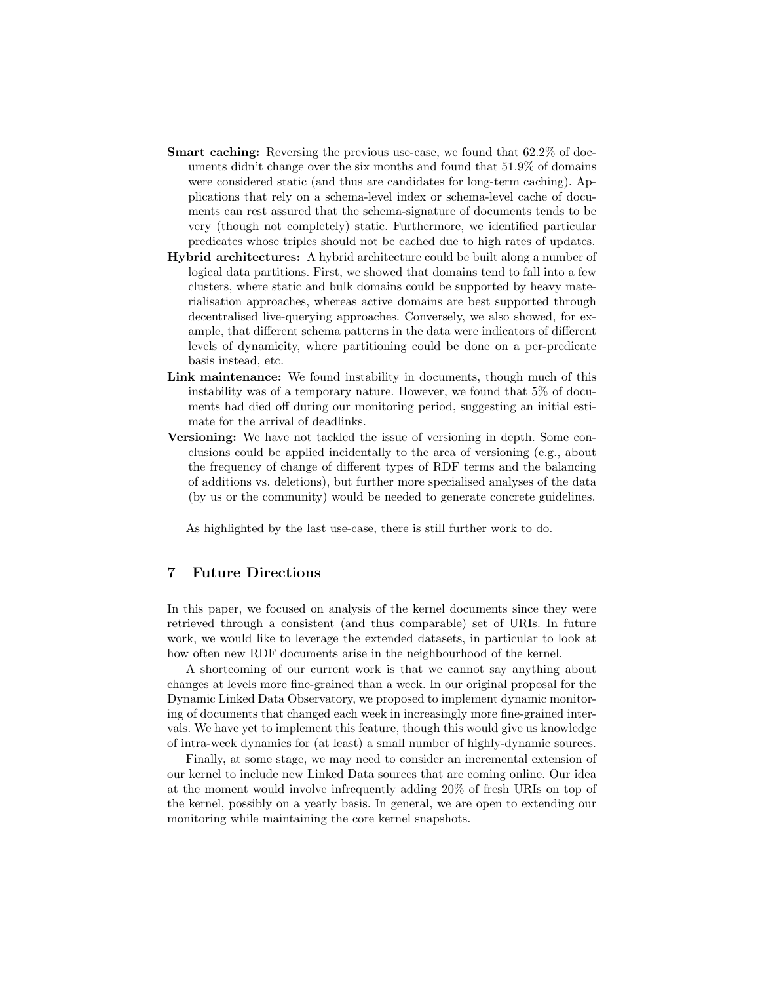- Smart caching: Reversing the previous use-case, we found that 62.2% of documents didn't change over the six months and found that 51.9% of domains were considered static (and thus are candidates for long-term caching). Applications that rely on a schema-level index or schema-level cache of documents can rest assured that the schema-signature of documents tends to be very (though not completely) static. Furthermore, we identified particular predicates whose triples should not be cached due to high rates of updates.
- Hybrid architectures: A hybrid architecture could be built along a number of logical data partitions. First, we showed that domains tend to fall into a few clusters, where static and bulk domains could be supported by heavy materialisation approaches, whereas active domains are best supported through decentralised live-querying approaches. Conversely, we also showed, for example, that different schema patterns in the data were indicators of different levels of dynamicity, where partitioning could be done on a per-predicate basis instead, etc.
- Link maintenance: We found instability in documents, though much of this instability was of a temporary nature. However, we found that 5% of documents had died off during our monitoring period, suggesting an initial estimate for the arrival of deadlinks.
- Versioning: We have not tackled the issue of versioning in depth. Some conclusions could be applied incidentally to the area of versioning (e.g., about the frequency of change of different types of RDF terms and the balancing of additions vs. deletions), but further more specialised analyses of the data (by us or the community) would be needed to generate concrete guidelines.

As highlighted by the last use-case, there is still further work to do.

## 7 Future Directions

In this paper, we focused on analysis of the kernel documents since they were retrieved through a consistent (and thus comparable) set of URIs. In future work, we would like to leverage the extended datasets, in particular to look at how often new RDF documents arise in the neighbourhood of the kernel.

A shortcoming of our current work is that we cannot say anything about changes at levels more fine-grained than a week. In our original proposal for the Dynamic Linked Data Observatory, we proposed to implement dynamic monitoring of documents that changed each week in increasingly more fine-grained intervals. We have yet to implement this feature, though this would give us knowledge of intra-week dynamics for (at least) a small number of highly-dynamic sources.

Finally, at some stage, we may need to consider an incremental extension of our kernel to include new Linked Data sources that are coming online. Our idea at the moment would involve infrequently adding 20% of fresh URIs on top of the kernel, possibly on a yearly basis. In general, we are open to extending our monitoring while maintaining the core kernel snapshots.